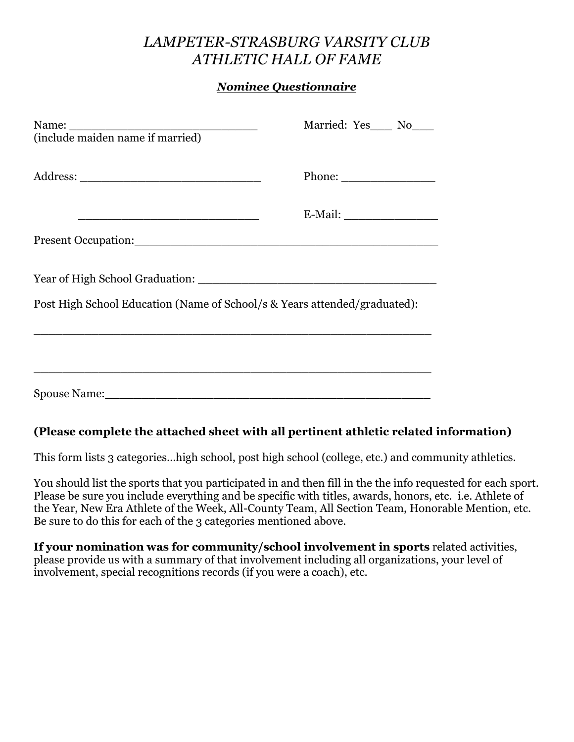## *LAMPETER-STRASBURG VARSITY CLUB ATHLETIC HALL OF FAME*

## *Nominee Questionnaire*

| Name:<br>$(include \text{ maiden name if married})$                                                                 | Married: Yes___ No___                                   |
|---------------------------------------------------------------------------------------------------------------------|---------------------------------------------------------|
|                                                                                                                     | Phone: $\frac{1}{\sqrt{1-\frac{1}{2}}\cdot\frac{1}{2}}$ |
| <u> 1989 - Johann Barbara, martin amerikan basar dan basa dan basa dan basa dan basa dan basa dan basa dan basa</u> |                                                         |
|                                                                                                                     |                                                         |
|                                                                                                                     |                                                         |
| Post High School Education (Name of School/s & Years attended/graduated):                                           |                                                         |
|                                                                                                                     |                                                         |
|                                                                                                                     |                                                         |
|                                                                                                                     |                                                         |

## **(Please complete the attached sheet with all pertinent athletic related information)**

This form lists 3 categories…high school, post high school (college, etc.) and community athletics.

You should list the sports that you participated in and then fill in the the info requested for each sport. Please be sure you include everything and be specific with titles, awards, honors, etc. i.e. Athlete of the Year, New Era Athlete of the Week, All-County Team, All Section Team, Honorable Mention, etc. Be sure to do this for each of the 3 categories mentioned above.

**If your nomination was for community/school involvement in sports** related activities, please provide us with a summary of that involvement including all organizations, your level of involvement, special recognitions records (if you were a coach), etc.